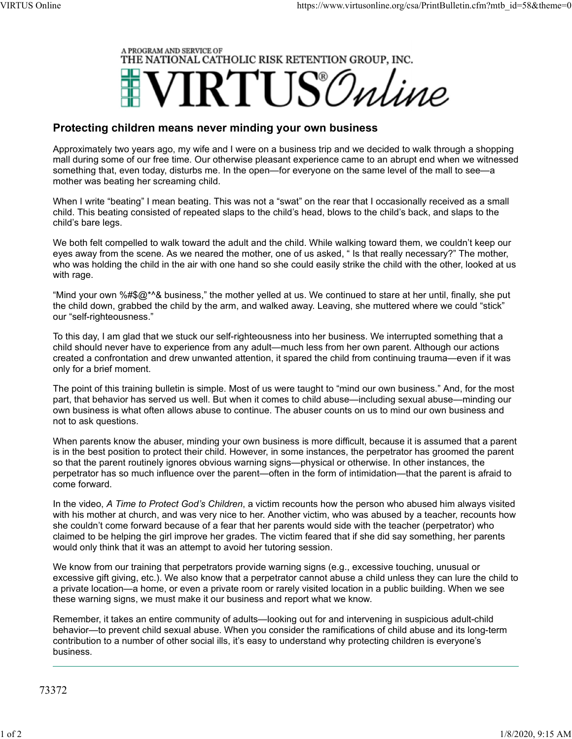

## Protecting children means never minding your own business

Approximately two years ago, my wife and I were on a business trip and we decided to walk through a shopping mall during some of our free time. Our otherwise pleasant experience came to an abrupt end when we witnessed something that, even today, disturbs me. In the open—for everyone on the same level of the mall to see—a mother was beating her screaming child.

When I write "beating" I mean beating. This was not a "swat" on the rear that I occasionally received as a small child. This beating consisted of repeated slaps to the child's head, blows to the child's back, and slaps to the child's bare legs.

We both felt compelled to walk toward the adult and the child. While walking toward them, we couldn't keep our eyes away from the scene. As we neared the mother, one of us asked, " Is that really necessary?" The mother, who was holding the child in the air with one hand so she could easily strike the child with the other, looked at us with rage.

"Mind your own %#\$@\*^& business," the mother yelled at us. We continued to stare at her until, finally, she put the child down, grabbed the child by the arm, and walked away. Leaving, she muttered where we could "stick" our "self-righteousness."

To this day, I am glad that we stuck our self-righteousness into her business. We interrupted something that a child should never have to experience from any adult—much less from her own parent. Although our actions created a confrontation and drew unwanted attention, it spared the child from continuing trauma—even if it was only for a brief moment.

The point of this training bulletin is simple. Most of us were taught to "mind our own business." And, for the most part, that behavior has served us well. But when it comes to child abuse—including sexual abuse—minding our own business is what often allows abuse to continue. The abuser counts on us to mind our own business and not to ask questions.

When parents know the abuser, minding your own business is more difficult, because it is assumed that a parent is in the best position to protect their child. However, in some instances, the perpetrator has groomed the parent so that the parent routinely ignores obvious warning signs—physical or otherwise. In other instances, the perpetrator has so much influence over the parent—often in the form of intimidation—that the parent is afraid to come forward.

In the video, A Time to Protect God's Children, a victim recounts how the person who abused him always visited with his mother at church, and was very nice to her. Another victim, who was abused by a teacher, recounts how she couldn't come forward because of a fear that her parents would side with the teacher (perpetrator) who claimed to be helping the girl improve her grades. The victim feared that if she did say something, her parents would only think that it was an attempt to avoid her tutoring session.

We know from our training that perpetrators provide warning signs (e.g., excessive touching, unusual or excessive gift giving, etc.). We also know that a perpetrator cannot abuse a child unless they can lure the child to a private location—a home, or even a private room or rarely visited location in a public building. When we see these warning signs, we must make it our business and report what we know.

Remember, it takes an entire community of adults—looking out for and intervening in suspicious adult-child behavior—to prevent child sexual abuse. When you consider the ramifications of child abuse and its long-term contribution to a number of other social ills, it's easy to understand why protecting children is everyone's business.

73372